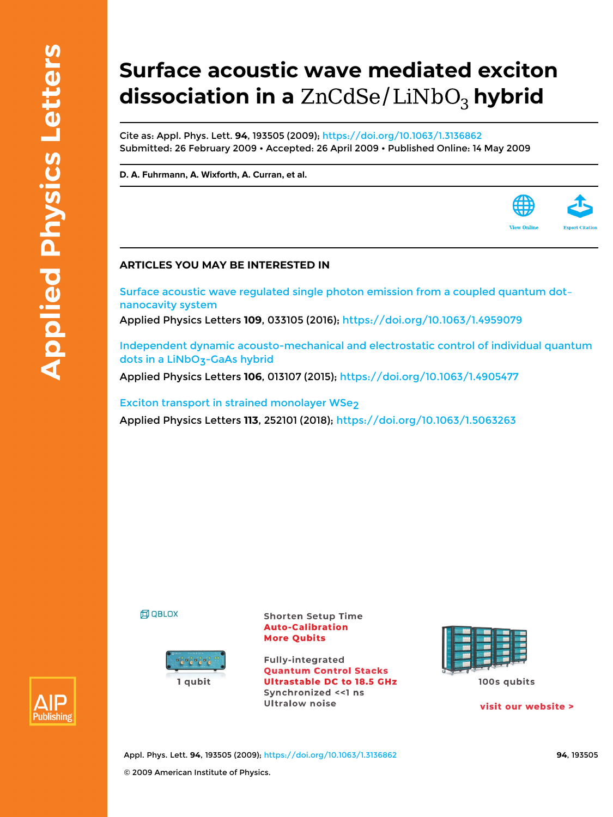## **Surface acoustic wave mediated exciton** dissociation in a ZnCdSe/LiNbO<sub>3</sub> hybrid

Cite as: Appl. Phys. Lett. **94**, 193505 (2009);<https://doi.org/10.1063/1.3136862> Submitted: 26 February 2009 • Accepted: 26 April 2009 • Published Online: 14 May 2009

**[D. A. Fuhrmann,](https://aip.scitation.org/author/Fuhrmann%2C+D+A) [A. Wixforth,](https://aip.scitation.org/author/Wixforth%2C+A) [A. Curran](https://aip.scitation.org/author/Curran%2C+A), et al.**



## **ARTICLES YOU MAY BE INTERESTED IN**

[Surface acoustic wave regulated single photon emission from a coupled quantum dot–](https://aip.scitation.org/doi/10.1063/1.4959079) [nanocavity system](https://aip.scitation.org/doi/10.1063/1.4959079) Applied Physics Letters **109**, 033105 (2016); <https://doi.org/10.1063/1.4959079>

[Independent dynamic acousto-mechanical and electrostatic control of individual quantum](https://aip.scitation.org/doi/10.1063/1.4905477) dots in a LiNbO<sub>3</sub>-GaAs hybrid

Applied Physics Letters **106**, 013107 (2015);<https://doi.org/10.1063/1.4905477>

[Exciton transport in strained monolayer WSe2](https://aip.scitation.org/doi/10.1063/1.5063263) Applied Physics Letters **113**, 252101 (2018); <https://doi.org/10.1063/1.5063263>





**Shorten Setup Time Auto-Calibration More Qubits** 

**Fully-integrated Quantum Control Stacks Ultrastable DC to 18.5 GHz** Synchronized <<1 ns **Ultralow noise** 



100s qubits

visit our website >



Appl. Phys. Lett. **94**, 193505 (2009); <https://doi.org/10.1063/1.3136862> **94**, 193505 © 2009 American Institute of Physics.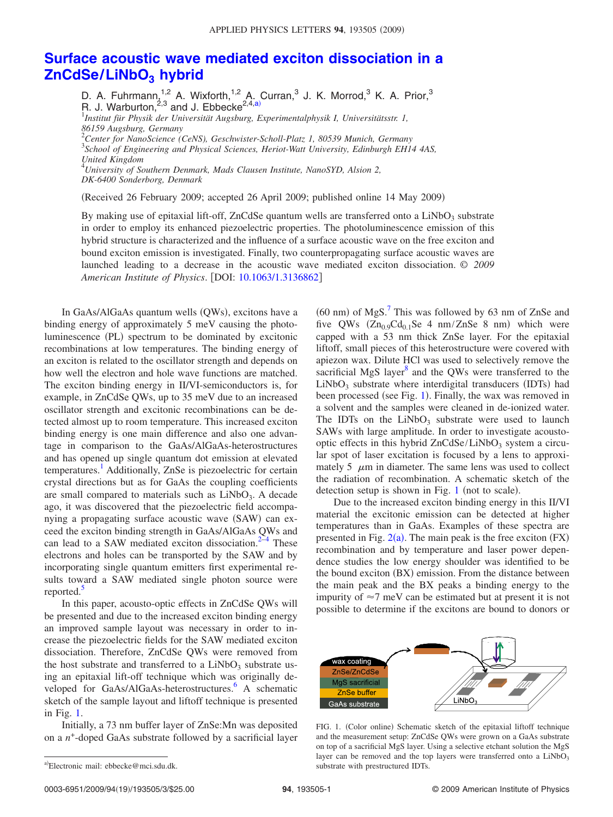## **[Surface acoustic wave mediated exciton dissociation in a](http://dx.doi.org/10.1063/1.3136862) [ZnCdSe/LiNbO3](http://dx.doi.org/10.1063/1.3136862) hybrid**

D. A. Fuhrmann, $^{1,2}$  A. Wixforth, $^{1,2}$  A. Curran,<sup>3</sup> J. K. Morrod,<sup>3</sup> K. A. Prior,<sup>3</sup> R. J. Warburton, $^{2,3}$  and J. Ebbecke<sup>2,4[,a](#page-1-0))</sup> 1 *Institut für Physik der Universität Augsburg, Experimentalphysik I, Universitätsstr. 1, 86159 Augsburg, Germany* 2 *Center for NanoScience (CeNS), Geschwister-Scholl-Platz 1, 80539 Munich, Germany* 3 *School of Engineering and Physical Sciences, Heriot-Watt University, Edinburgh EH14 4AS, United Kingdom*

4 *University of Southern Denmark, Mads Clausen Institute, NanoSYD, Alsion 2, DK-6400 Sonderborg, Denmark*

Received 26 February 2009; accepted 26 April 2009; published online 14 May 2009-

By making use of epitaxial lift-off, ZnCdSe quantum wells are transferred onto a  $LiNbO<sub>3</sub>$  substrate in order to employ its enhanced piezoelectric properties. The photoluminescence emission of this hybrid structure is characterized and the influence of a surface acoustic wave on the free exciton and bound exciton emission is investigated. Finally, two counterpropagating surface acoustic waves are launched leading to a decrease in the acoustic wave mediated exciton dissociation. © *2009 American Institute of Physics*. DOI: [10.1063/1.3136862](http://dx.doi.org/10.1063/1.3136862)

In GaAs/AlGaAs quantum wells (QWs), excitons have a binding energy of approximately 5 meV causing the photoluminescence (PL) spectrum to be dominated by excitonic recombinations at low temperatures. The binding energy of an exciton is related to the oscillator strength and depends on how well the electron and hole wave functions are matched. The exciton binding energy in II/VI-semiconductors is, for example, in ZnCdSe QWs, up to 35 meV due to an increased oscillator strength and excitonic recombinations can be detected almost up to room temperature. This increased exciton binding energy is one main difference and also one advantage in comparison to the GaAs/AlGaAs-heterostructures and has opened up single quantum dot emission at elevated temperatures.<sup>1</sup> Additionally, ZnSe is piezoelectric for certain crystal directions but as for GaAs the coupling coefficients are small compared to materials such as  $LiNbO<sub>3</sub>$ . A decade ago, it was discovered that the piezoelectric field accompanying a propagating surface acoustic wave (SAW) can exceed the exciton binding strength in GaAs/AlGaAs QWs and can lead to a SAW mediated exciton dissociation. $2-4$  $2-4$  These electrons and holes can be transported by the SAW and by incorporating single quantum emitters first experimental results toward a SAW mediated single photon source were reported.<sup>5</sup>

In this paper, acousto-optic effects in ZnCdSe QWs will be presented and due to the increased exciton binding energy an improved sample layout was necessary in order to increase the piezoelectric fields for the SAW mediated exciton dissociation. Therefore, ZnCdSe QWs were removed from the host substrate and transferred to a  $LiNbO<sub>3</sub>$  substrate using an epitaxial lift-off technique which was originally developed for GaAs/AlGaAs-heterostructures.<sup>6</sup> A schematic sketch of the sample layout and liftoff technique is presented in Fig. [1.](#page-1-1)

<span id="page-1-0"></span>Initially, a 73 nm buffer layer of ZnSe:Mn was deposited on a *n*+-doped GaAs substrate followed by a sacrificial layer

 $(60 \text{ nm})$  of MgS.<sup>7</sup> This was followed by 63 nm of ZnSe and five QWs  $(Zn_{0.9}Cd_{0.1}Se\ 4\ nm/ZnSe\ 8\ nm)$  which were capped with a 53 nm thick ZnSe layer. For the epitaxial liftoff, small pieces of this heterostructure were covered with apiezon wax. Dilute HCl was used to selectively remove the sacrificial MgS layer<sup>8</sup> and the OWs were transferred to the  $LiNbO<sub>3</sub>$  substrate where interdigital transducers (IDTs) had been processed (see Fig. [1](#page-1-1)). Finally, the wax was removed in a solvent and the samples were cleaned in de-ionized water. The IDTs on the  $LiNbO<sub>3</sub>$  substrate were used to launch SAWs with large amplitude. In order to investigate acoustooptic effects in this hybrid  $ZnCdSe/LiNbO<sub>3</sub>$  system a circular spot of laser excitation is focused by a lens to approximately 5  $\mu$ m in diameter. The same lens was used to collect the radiation of recombination. A schematic sketch of the detection setup is shown in Fig.  $1$  (not to scale).

Due to the increased exciton binding energy in this II/VI material the excitonic emission can be detected at higher temperatures than in GaAs. Examples of these spectra are presented in Fig.  $2(a)$  $2(a)$ . The main peak is the free exciton (FX) recombination and by temperature and laser power dependence studies the low energy shoulder was identified to be the bound exciton (BX) emission. From the distance between the main peak and the BX peaks a binding energy to the impurity of  $\approx$ 7 meV can be estimated but at present it is not possible to determine if the excitons are bound to donors or

<span id="page-1-1"></span>

FIG. 1. (Color online) Schematic sketch of the epitaxial liftoff technique and the measurement setup: ZnCdSe QWs were grown on a GaAs substrate on top of a sacrificial MgS layer. Using a selective etchant solution the MgS layer can be removed and the top layers were transferred onto a  $LiNbO<sub>3</sub>$ substrate with prestructured IDTs.

a)Electronic mail: ebbecke@mci.sdu.dk.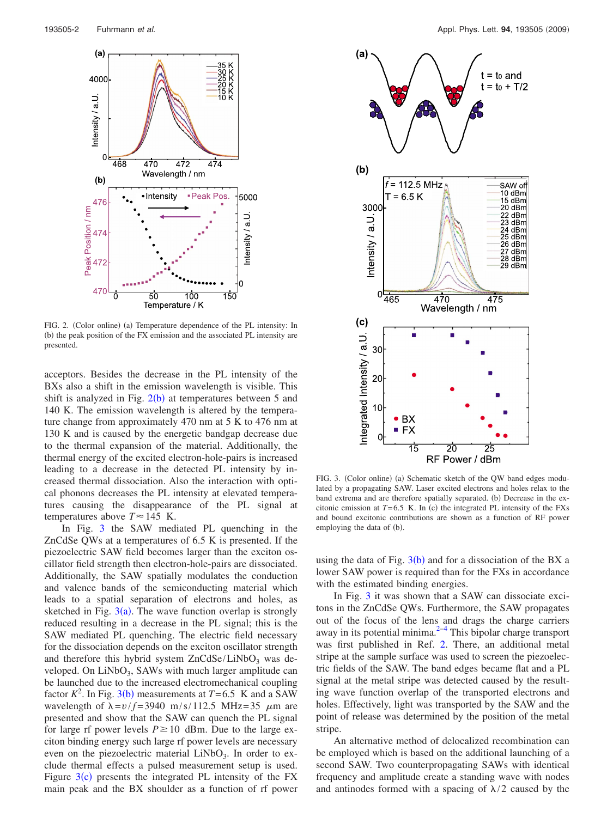<span id="page-2-0"></span>

FIG. 2. (Color online) (a) Temperature dependence of the PL intensity: In (b) the peak position of the FX emission and the associated PL intensity are presented.

acceptors. Besides the decrease in the PL intensity of the BXs also a shift in the emission wavelength is visible. This shift is analyzed in Fig.  $2(b)$  $2(b)$  at temperatures between 5 and 140 K. The emission wavelength is altered by the temperature change from approximately 470 nm at 5 K to 476 nm at 130 K and is caused by the energetic bandgap decrease due to the thermal expansion of the material. Additionally, the thermal energy of the excited electron-hole-pairs is increased leading to a decrease in the detected PL intensity by increased thermal dissociation. Also the interaction with optical phonons decreases the PL intensity at elevated temperatures causing the disappearance of the PL signal at temperatures above  $T \approx 145$  K.

In Fig. [3](#page-2-1) the SAW mediated PL quenching in the ZnCdSe QWs at a temperatures of 6.5 K is presented. If the piezoelectric SAW field becomes larger than the exciton oscillator field strength then electron-hole-pairs are dissociated. Additionally, the SAW spatially modulates the conduction and valence bands of the semiconducting material which leads to a spatial separation of electrons and holes, as sketched in Fig.  $3(a)$  $3(a)$ . The wave function overlap is strongly reduced resulting in a decrease in the PL signal; this is the SAW mediated PL quenching. The electric field necessary for the dissociation depends on the exciton oscillator strength and therefore this hybrid system  $ZnCdSe/LiNbO<sub>3</sub>$  was developed. On  $LiNbO<sub>3</sub>$ , SAWs with much larger amplitude can be launched due to the increased electromechanical coupling factor  $K^2$ . In Fig. [3](#page-2-1)(b) measurements at  $T=6.5$  K and a SAW wavelength of  $\lambda = v/f = 3940$  m/s/112.5 MHz=35  $\mu$ m are presented and show that the SAW can quench the PL signal for large rf power levels  $P \ge 10$  dBm. Due to the large exciton binding energy such large rf power levels are necessary even on the piezoelectric material  $LiNbO<sub>3</sub>$ . In order to exclude thermal effects a pulsed measurement setup is used. Figure  $3(c)$  $3(c)$  presents the integrated PL intensity of the FX main peak and the BX shoulder as a function of rf power

<span id="page-2-1"></span>

FIG. 3. (Color online) (a) Schematic sketch of the QW band edges modulated by a propagating SAW. Laser excited electrons and holes relax to the band extrema and are therefore spatially separated. (b) Decrease in the excitonic emission at  $T=6.5$  K. In (c) the integrated PL intensity of the FXs and bound excitonic contributions are shown as a function of RF power employing the data of (b).

using the data of Fig.  $3(b)$  $3(b)$  and for a dissociation of the BX a lower SAW power is required than for the FXs in accordance with the estimated binding energies.

In Fig. [3](#page-2-1) it was shown that a SAW can dissociate excitons in the ZnCdSe QWs. Furthermore, the SAW propagates out of the focus of the lens and drags the charge carriers away in its potential minima.<sup>2[–4](#page-3-2)</sup> This bipolar charge transport was first published in Ref. [2.](#page-3-1) There, an additional metal stripe at the sample surface was used to screen the piezoelectric fields of the SAW. The band edges became flat and a PL signal at the metal stripe was detected caused by the resulting wave function overlap of the transported electrons and holes. Effectively, light was transported by the SAW and the point of release was determined by the position of the metal stripe.

An alternative method of delocalized recombination can be employed which is based on the additional launching of a second SAW. Two counterpropagating SAWs with identical frequency and amplitude create a standing wave with nodes and antinodes formed with a spacing of  $\lambda/2$  caused by the